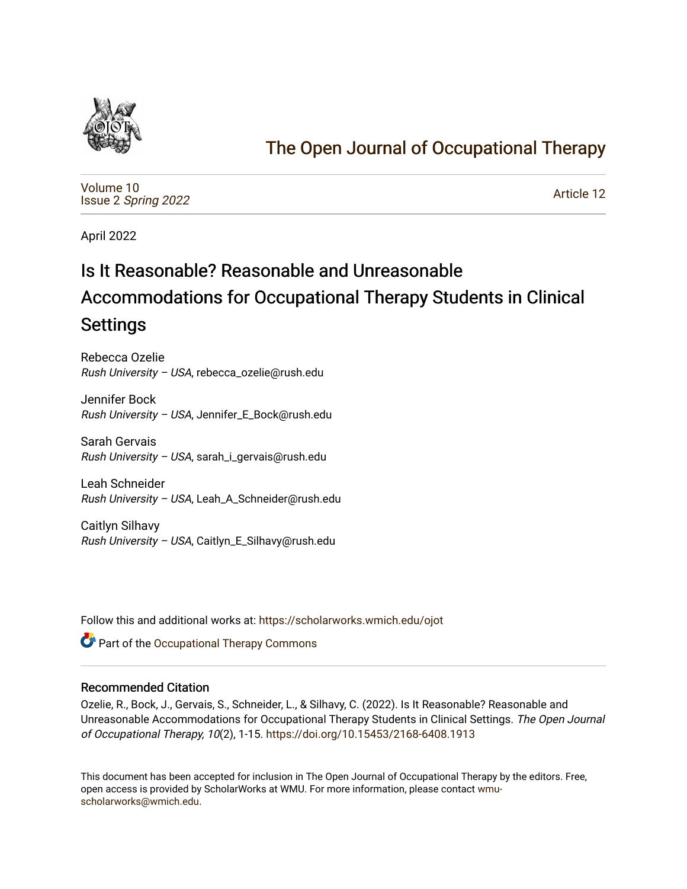

# [The Open Journal of Occupational Therapy](https://scholarworks.wmich.edu/ojot)

[Volume 10](https://scholarworks.wmich.edu/ojot/vol10) Issue 2 [Spring 2022](https://scholarworks.wmich.edu/ojot/vol10/iss2) 

[Article 12](https://scholarworks.wmich.edu/ojot/vol10/iss2/12) 

April 2022

# Is It Reasonable? Reasonable and Unreasonable Accommodations for Occupational Therapy Students in Clinical Settings

Rebecca Ozelie Rush University – USA, rebecca\_ozelie@rush.edu

Jennifer Bock Rush University – USA, Jennifer\_E\_Bock@rush.edu

Sarah Gervais Rush University – USA, sarah\_i\_gervais@rush.edu

Leah Schneider Rush University – USA, Leah\_A\_Schneider@rush.edu

Caitlyn Silhavy Rush University – USA, Caitlyn\_E\_Silhavy@rush.edu

Follow this and additional works at: [https://scholarworks.wmich.edu/ojot](https://scholarworks.wmich.edu/ojot?utm_source=scholarworks.wmich.edu%2Fojot%2Fvol10%2Fiss2%2F12&utm_medium=PDF&utm_campaign=PDFCoverPages)

**C** Part of the Occupational Therapy Commons

## Recommended Citation

Ozelie, R., Bock, J., Gervais, S., Schneider, L., & Silhavy, C. (2022). Is It Reasonable? Reasonable and Unreasonable Accommodations for Occupational Therapy Students in Clinical Settings. The Open Journal of Occupational Therapy, 10(2), 1-15.<https://doi.org/10.15453/2168-6408.1913>

This document has been accepted for inclusion in The Open Journal of Occupational Therapy by the editors. Free, open access is provided by ScholarWorks at WMU. For more information, please contact [wmu](mailto:wmu-scholarworks@wmich.edu)[scholarworks@wmich.edu.](mailto:wmu-scholarworks@wmich.edu)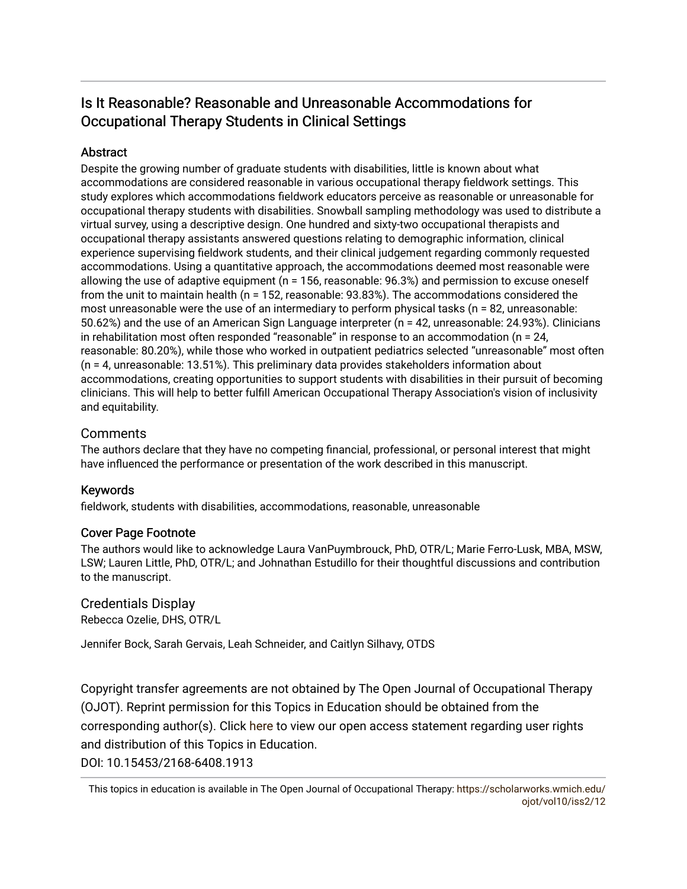## Is It Reasonable? Reasonable and Unreasonable Accommodations for Occupational Therapy Students in Clinical Settings

## Abstract

Despite the growing number of graduate students with disabilities, little is known about what accommodations are considered reasonable in various occupational therapy fieldwork settings. This study explores which accommodations fieldwork educators perceive as reasonable or unreasonable for occupational therapy students with disabilities. Snowball sampling methodology was used to distribute a virtual survey, using a descriptive design. One hundred and sixty-two occupational therapists and occupational therapy assistants answered questions relating to demographic information, clinical experience supervising fieldwork students, and their clinical judgement regarding commonly requested accommodations. Using a quantitative approach, the accommodations deemed most reasonable were allowing the use of adaptive equipment (n = 156, reasonable: 96.3%) and permission to excuse oneself from the unit to maintain health (n = 152, reasonable: 93.83%). The accommodations considered the most unreasonable were the use of an intermediary to perform physical tasks (n = 82, unreasonable: 50.62%) and the use of an American Sign Language interpreter (n = 42, unreasonable: 24.93%). Clinicians in rehabilitation most often responded "reasonable" in response to an accommodation (n = 24, reasonable: 80.20%), while those who worked in outpatient pediatrics selected "unreasonable" most often (n = 4, unreasonable: 13.51%). This preliminary data provides stakeholders information about accommodations, creating opportunities to support students with disabilities in their pursuit of becoming clinicians. This will help to better fulfill American Occupational Therapy Association's vision of inclusivity and equitability.

## **Comments**

The authors declare that they have no competing financial, professional, or personal interest that might have influenced the performance or presentation of the work described in this manuscript.

## Keywords

fieldwork, students with disabilities, accommodations, reasonable, unreasonable

## Cover Page Footnote

The authors would like to acknowledge Laura VanPuymbrouck, PhD, OTR/L; Marie Ferro-Lusk, MBA, MSW, LSW; Lauren Little, PhD, OTR/L; and Johnathan Estudillo for their thoughtful discussions and contribution to the manuscript.

Credentials Display Rebecca Ozelie, DHS, OTR/L

Jennifer Bock, Sarah Gervais, Leah Schneider, and Caitlyn Silhavy, OTDS

Copyright transfer agreements are not obtained by The Open Journal of Occupational Therapy (OJOT). Reprint permission for this Topics in Education should be obtained from the corresponding author(s). Click [here](https://scholarworks.wmich.edu/ojot/policies.html#rights) to view our open access statement regarding user rights and distribution of this Topics in Education. DOI: 10.15453/2168-6408.1913

This topics in education is available in The Open Journal of Occupational Therapy: [https://scholarworks.wmich.edu/](https://scholarworks.wmich.edu/ojot/vol10/iss2/12) [ojot/vol10/iss2/12](https://scholarworks.wmich.edu/ojot/vol10/iss2/12)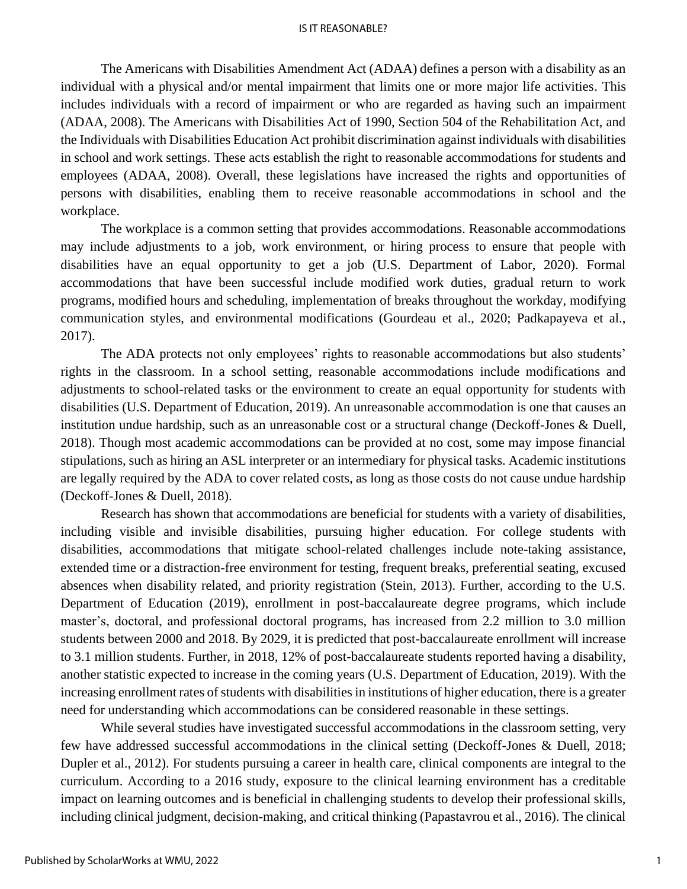The Americans with Disabilities Amendment Act (ADAA) defines a person with a disability as an individual with a physical and/or mental impairment that limits one or more major life activities. This includes individuals with a record of impairment or who are regarded as having such an impairment (ADAA, 2008). The Americans with Disabilities Act of 1990, Section 504 of the Rehabilitation Act, and the Individuals with Disabilities Education Act prohibit discrimination against individuals with disabilities in school and work settings. These acts establish the right to reasonable accommodations for students and employees (ADAA, 2008). Overall, these legislations have increased the rights and opportunities of persons with disabilities, enabling them to receive reasonable accommodations in school and the workplace.

The workplace is a common setting that provides accommodations. Reasonable accommodations may include adjustments to a job, work environment, or hiring process to ensure that people with disabilities have an equal opportunity to get a job (U.S. Department of Labor, 2020). Formal accommodations that have been successful include modified work duties, gradual return to work programs, modified hours and scheduling, implementation of breaks throughout the workday, modifying communication styles, and environmental modifications (Gourdeau et al., 2020; Padkapayeva et al., 2017).

The ADA protects not only employees' rights to reasonable accommodations but also students' rights in the classroom. In a school setting, reasonable accommodations include modifications and adjustments to school-related tasks or the environment to create an equal opportunity for students with disabilities (U.S. Department of Education, 2019). An unreasonable accommodation is one that causes an institution undue hardship, such as an unreasonable cost or a structural change (Deckoff-Jones & Duell, 2018). Though most academic accommodations can be provided at no cost, some may impose financial stipulations, such as hiring an ASL interpreter or an intermediary for physical tasks. Academic institutions are legally required by the ADA to cover related costs, as long as those costs do not cause undue hardship (Deckoff-Jones & Duell, 2018).

Research has shown that accommodations are beneficial for students with a variety of disabilities, including visible and invisible disabilities, pursuing higher education. For college students with disabilities, accommodations that mitigate school-related challenges include note-taking assistance, extended time or a distraction-free environment for testing, frequent breaks, preferential seating, excused absences when disability related, and priority registration (Stein, 2013). Further, according to the U.S. Department of Education (2019), enrollment in post-baccalaureate degree programs, which include master's, doctoral, and professional doctoral programs, has increased from 2.2 million to 3.0 million students between 2000 and 2018. By 2029, it is predicted that post-baccalaureate enrollment will increase to 3.1 million students. Further, in 2018, 12% of post-baccalaureate students reported having a disability, another statistic expected to increase in the coming years (U.S. Department of Education, 2019). With the increasing enrollment rates of students with disabilities in institutions of higher education, there is a greater need for understanding which accommodations can be considered reasonable in these settings.

While several studies have investigated successful accommodations in the classroom setting, very few have addressed successful accommodations in the clinical setting (Deckoff-Jones & Duell, 2018; Dupler et al., 2012). For students pursuing a career in health care, clinical components are integral to the curriculum. According to a 2016 study, exposure to the clinical learning environment has a creditable impact on learning outcomes and is beneficial in challenging students to develop their professional skills, including clinical judgment, decision-making, and critical thinking (Papastavrou et al., 2016). The clinical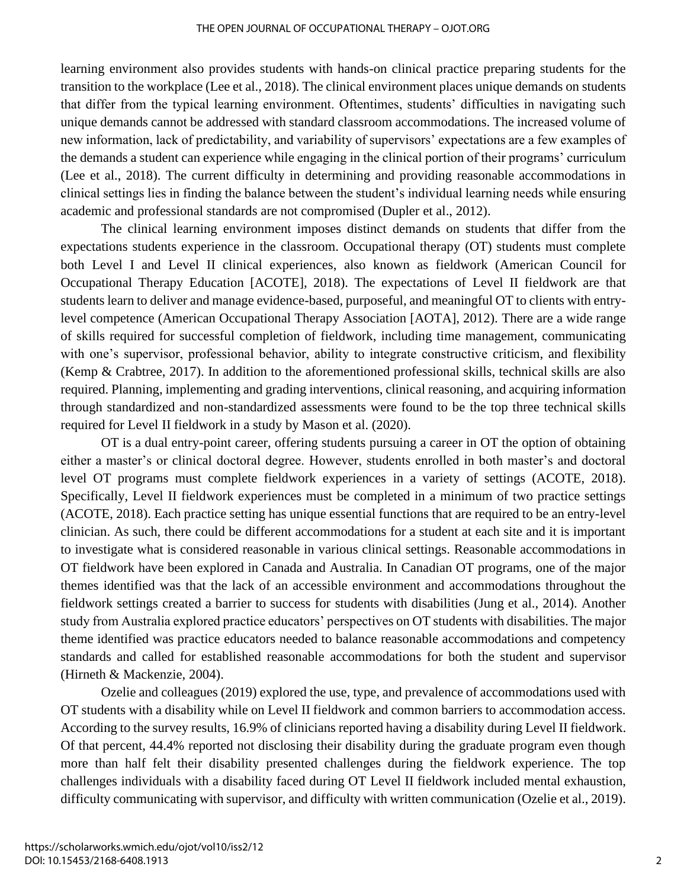learning environment also provides students with hands-on clinical practice preparing students for the transition to the workplace (Lee et al., 2018). The clinical environment places unique demands on students that differ from the typical learning environment. Oftentimes, students' difficulties in navigating such unique demands cannot be addressed with standard classroom accommodations. The increased volume of new information, lack of predictability, and variability of supervisors' expectations are a few examples of the demands a student can experience while engaging in the clinical portion of their programs' curriculum (Lee et al., 2018). The current difficulty in determining and providing reasonable accommodations in clinical settings lies in finding the balance between the student's individual learning needs while ensuring academic and professional standards are not compromised (Dupler et al., 2012).

The clinical learning environment imposes distinct demands on students that differ from the expectations students experience in the classroom. Occupational therapy (OT) students must complete both Level I and Level II clinical experiences, also known as fieldwork (American Council for Occupational Therapy Education [ACOTE], 2018). The expectations of Level II fieldwork are that students learn to deliver and manage evidence-based, purposeful, and meaningful OT to clients with entrylevel competence (American Occupational Therapy Association [AOTA], 2012). There are a wide range of skills required for successful completion of fieldwork, including time management, communicating with one's supervisor, professional behavior, ability to integrate constructive criticism, and flexibility (Kemp & Crabtree, 2017). In addition to the aforementioned professional skills, technical skills are also required. Planning, implementing and grading interventions, clinical reasoning, and acquiring information through standardized and non-standardized assessments were found to be the top three technical skills required for Level II fieldwork in a study by Mason et al. (2020).

OT is a dual entry-point career, offering students pursuing a career in OT the option of obtaining either a master's or clinical doctoral degree. However, students enrolled in both master's and doctoral level OT programs must complete fieldwork experiences in a variety of settings (ACOTE, 2018). Specifically, Level II fieldwork experiences must be completed in a minimum of two practice settings (ACOTE, 2018). Each practice setting has unique essential functions that are required to be an entry-level clinician. As such, there could be different accommodations for a student at each site and it is important to investigate what is considered reasonable in various clinical settings. Reasonable accommodations in OT fieldwork have been explored in Canada and Australia. In Canadian OT programs, one of the major themes identified was that the lack of an accessible environment and accommodations throughout the fieldwork settings created a barrier to success for students with disabilities (Jung et al., 2014). Another study from Australia explored practice educators' perspectives on OT students with disabilities. The major theme identified was practice educators needed to balance reasonable accommodations and competency standards and called for established reasonable accommodations for both the student and supervisor (Hirneth & Mackenzie, 2004).

Ozelie and colleagues (2019) explored the use, type, and prevalence of accommodations used with OT students with a disability while on Level II fieldwork and common barriers to accommodation access. According to the survey results, 16.9% of clinicians reported having a disability during Level II fieldwork. Of that percent, 44.4% reported not disclosing their disability during the graduate program even though more than half felt their disability presented challenges during the fieldwork experience. The top challenges individuals with a disability faced during OT Level II fieldwork included mental exhaustion, difficulty communicating with supervisor, and difficulty with written communication (Ozelie et al., 2019).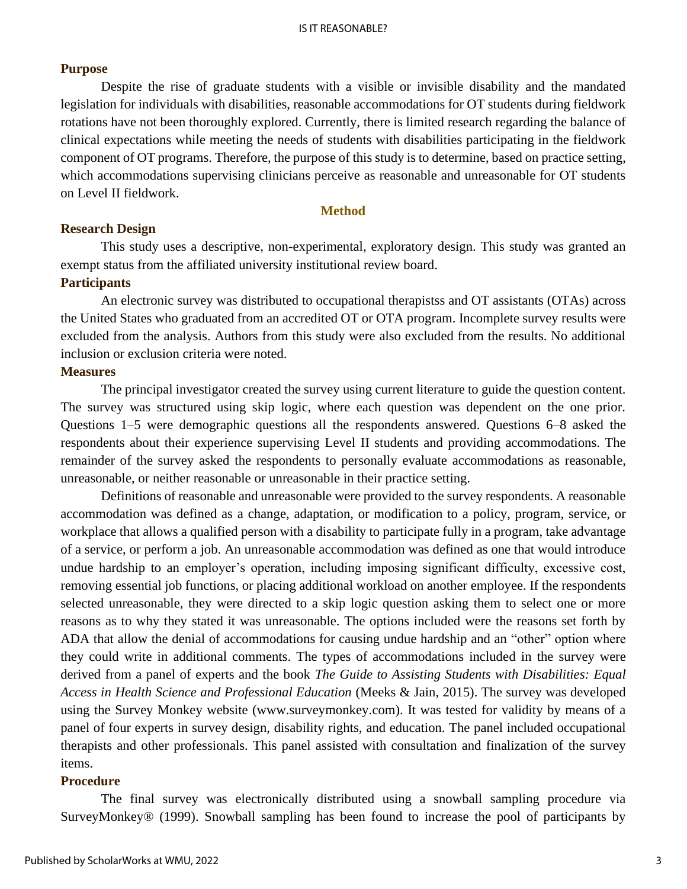## **Purpose**

Despite the rise of graduate students with a visible or invisible disability and the mandated legislation for individuals with disabilities, reasonable accommodations for OT students during fieldwork rotations have not been thoroughly explored. Currently, there is limited research regarding the balance of clinical expectations while meeting the needs of students with disabilities participating in the fieldwork component of OT programs. Therefore, the purpose of this study is to determine, based on practice setting, which accommodations supervising clinicians perceive as reasonable and unreasonable for OT students on Level II fieldwork.

### **Method**

### **Research Design**

This study uses a descriptive, non-experimental, exploratory design. This study was granted an exempt status from the affiliated university institutional review board.

## **Participants**

An electronic survey was distributed to occupational therapistss and OT assistants (OTAs) across the United States who graduated from an accredited OT or OTA program. Incomplete survey results were excluded from the analysis. Authors from this study were also excluded from the results. No additional inclusion or exclusion criteria were noted.

## **Measures**

The principal investigator created the survey using current literature to guide the question content. The survey was structured using skip logic, where each question was dependent on the one prior. Questions 1–5 were demographic questions all the respondents answered. Questions 6–8 asked the respondents about their experience supervising Level II students and providing accommodations. The remainder of the survey asked the respondents to personally evaluate accommodations as reasonable, unreasonable, or neither reasonable or unreasonable in their practice setting.

Definitions of reasonable and unreasonable were provided to the survey respondents. A reasonable accommodation was defined as a change, adaptation, or modification to a policy, program, service, or workplace that allows a qualified person with a disability to participate fully in a program, take advantage of a service, or perform a job. An unreasonable accommodation was defined as one that would introduce undue hardship to an employer's operation, including imposing significant difficulty, excessive cost, removing essential job functions, or placing additional workload on another employee. If the respondents selected unreasonable, they were directed to a skip logic question asking them to select one or more reasons as to why they stated it was unreasonable. The options included were the reasons set forth by ADA that allow the denial of accommodations for causing undue hardship and an "other" option where they could write in additional comments. The types of accommodations included in the survey were derived from a panel of experts and the book *The Guide to Assisting Students with Disabilities: Equal Access in Health Science and Professional Education* (Meeks & Jain, 2015). The survey was developed using the Survey Monkey website (www.surveymonkey.com). It was tested for validity by means of a panel of four experts in survey design, disability rights, and education. The panel included occupational therapists and other professionals. This panel assisted with consultation and finalization of the survey items.

## **Procedure**

The final survey was electronically distributed using a snowball sampling procedure via SurveyMonkey® (1999). Snowball sampling has been found to increase the pool of participants by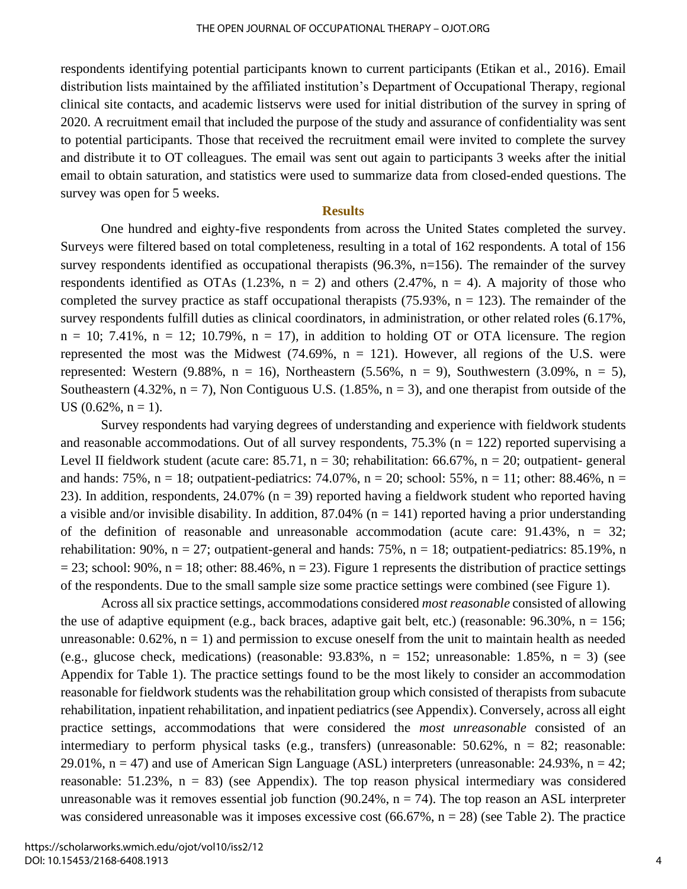respondents identifying potential participants known to current participants (Etikan et al., 2016). Email distribution lists maintained by the affiliated institution's Department of Occupational Therapy, regional clinical site contacts, and academic listservs were used for initial distribution of the survey in spring of 2020. A recruitment email that included the purpose of the study and assurance of confidentiality was sent to potential participants. Those that received the recruitment email were invited to complete the survey and distribute it to OT colleagues. The email was sent out again to participants 3 weeks after the initial email to obtain saturation, and statistics were used to summarize data from closed-ended questions. The survey was open for 5 weeks.

#### **Results**

One hundred and eighty-five respondents from across the United States completed the survey. Surveys were filtered based on total completeness, resulting in a total of 162 respondents. A total of 156 survey respondents identified as occupational therapists (96.3%, n=156). The remainder of the survey respondents identified as OTAs  $(1.23\% , n = 2)$  and others  $(2.47\% , n = 4)$ . A majority of those who completed the survey practice as staff occupational therapists  $(75.93\%, n = 123)$ . The remainder of the survey respondents fulfill duties as clinical coordinators, in administration, or other related roles (6.17%,  $n = 10$ ; 7.41%,  $n = 12$ ; 10.79%,  $n = 17$ ), in addition to holding OT or OTA licensure. The region represented the most was the Midwest  $(74.69\%, n = 121)$ . However, all regions of the U.S. were represented: Western  $(9.88\%, n = 16)$ , Northeastern  $(5.56\%, n = 9)$ , Southwestern  $(3.09\%, n = 5)$ , Southeastern (4.32%,  $n = 7$ ), Non Contiguous U.S. (1.85%,  $n = 3$ ), and one therapist from outside of the US  $(0.62\%, n = 1)$ .

Survey respondents had varying degrees of understanding and experience with fieldwork students and reasonable accommodations. Out of all survey respondents,  $75.3\%$  (n = 122) reported supervising a Level II fieldwork student (acute care:  $85.71$ ,  $n = 30$ ; rehabilitation:  $66.67\%$ ,  $n = 20$ ; outpatient-general and hands: 75%,  $n = 18$ ; outpatient-pediatrics: 74.07%,  $n = 20$ ; school: 55%,  $n = 11$ ; other: 88.46%,  $n =$ 23). In addition, respondents,  $24.07\%$  (n = 39) reported having a fieldwork student who reported having a visible and/or invisible disability. In addition,  $87.04\%$  (n = 141) reported having a prior understanding of the definition of reasonable and unreasonable accommodation (acute care:  $91.43\%$ , n = 32; rehabilitation: 90%,  $n = 27$ ; outpatient-general and hands: 75%,  $n = 18$ ; outpatient-pediatrics: 85.19%, n  $= 23$ ; school: 90%, n = 18; other: 88.46%, n = 23). Figure 1 represents the distribution of practice settings of the respondents. Due to the small sample size some practice settings were combined (see Figure 1).

Across all six practice settings, accommodations considered *most reasonable* consisted of allowing the use of adaptive equipment (e.g., back braces, adaptive gait belt, etc.) (reasonable:  $96.30\%$ , n = 156; unreasonable:  $0.62\%$ ,  $n = 1$ ) and permission to excuse oneself from the unit to maintain health as needed (e.g., glucose check, medications) (reasonable:  $93.83\%$ , n = 152; unreasonable: 1.85%, n = 3) (see Appendix for Table 1). The practice settings found to be the most likely to consider an accommodation reasonable for fieldwork students was the rehabilitation group which consisted of therapists from subacute rehabilitation, inpatient rehabilitation, and inpatient pediatrics (see Appendix). Conversely, across all eight practice settings, accommodations that were considered the *most unreasonable* consisted of an intermediary to perform physical tasks (e.g., transfers) (unreasonable: 50.62%, n = 82; reasonable: 29.01%,  $n = 47$ ) and use of American Sign Language (ASL) interpreters (unreasonable: 24.93%,  $n = 42$ ; reasonable:  $51.23\%$ ,  $n = 83$ ) (see Appendix). The top reason physical intermediary was considered unreasonable was it removes essential job function (90.24%,  $n = 74$ ). The top reason an ASL interpreter was considered unreasonable was it imposes excessive cost  $(66.67\%, n = 28)$  (see Table 2). The practice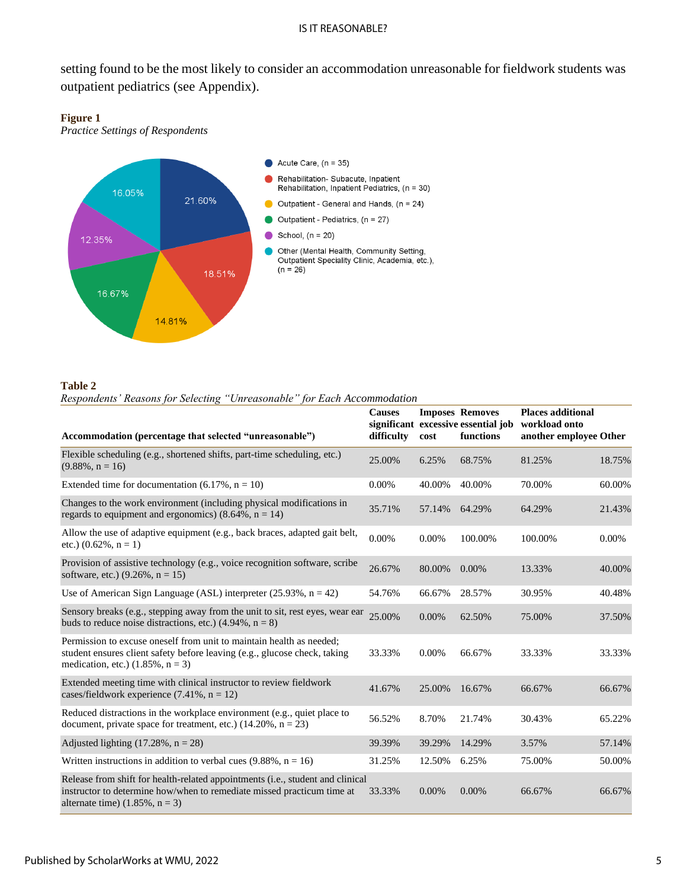setting found to be the most likely to consider an accommodation unreasonable for fieldwork students was outpatient pediatrics (see Appendix).

#### **Figure 1**

*Practice Settings of Respondents*



#### **Table 2**

*Respondents' Reasons for Selecting "Unreasonable" for Each Accommodation*

| Accommodation (percentage that selected "unreasonable")                                                                                                                                       | <b>Causes</b><br>difficulty | cost     | <b>Imposes Removes</b><br>significant excessive essential job<br>functions | <b>Places additional</b><br>workload onto<br>another employee Other |          |
|-----------------------------------------------------------------------------------------------------------------------------------------------------------------------------------------------|-----------------------------|----------|----------------------------------------------------------------------------|---------------------------------------------------------------------|----------|
| Flexible scheduling (e.g., shortened shifts, part-time scheduling, etc.)<br>$(9.88\%, n = 16)$                                                                                                | 25.00%                      | 6.25%    | 68.75%                                                                     | 81.25%                                                              | 18.75%   |
| Extended time for documentation $(6.17\% , n = 10)$                                                                                                                                           | 0.00%                       | 40.00%   | 40.00%                                                                     | 70.00%                                                              | 60.00%   |
| Changes to the work environment (including physical modifications in<br>regards to equipment and ergonomics) $(8.64\%, n = 14)$                                                               | 35.71%                      | 57.14%   | 64.29%                                                                     | 64.29%                                                              | 21.43%   |
| Allow the use of adaptive equipment (e.g., back braces, adapted gait belt,<br>etc.) $(0.62\%, n = 1)$                                                                                         | $0.00\%$                    | 0.00%    | 100.00%                                                                    | 100.00%                                                             | $0.00\%$ |
| Provision of assistive technology (e.g., voice recognition software, scribe<br>software, etc.) $(9.26\%, n = 15)$                                                                             | 26.67%                      | 80.00%   | $0.00\%$                                                                   | 13.33%                                                              | 40.00%   |
| Use of American Sign Language (ASL) interpreter $(25.93\% , n = 42)$                                                                                                                          | 54.76%                      | 66.67%   | 28.57%                                                                     | 30.95%                                                              | 40.48%   |
| Sensory breaks (e.g., stepping away from the unit to sit, rest eyes, wear ear<br>buds to reduce noise distractions, etc.) $(4.94\%, n = 8)$                                                   | 25.00%                      | $0.00\%$ | 62.50%                                                                     | 75.00%                                                              | 37.50%   |
| Permission to excuse oneself from unit to maintain health as needed;<br>student ensures client safety before leaving (e.g., glucose check, taking<br>medication, etc.) $(1.85\%, n = 3)$      | 33.33%                      | 0.00%    | 66.67%                                                                     | 33.33%                                                              | 33.33%   |
| Extended meeting time with clinical instructor to review fieldwork<br>cases/fieldwork experience $(7.41\%, n = 12)$                                                                           | 41.67%                      | 25.00%   | 16.67%                                                                     | 66.67%                                                              | 66.67%   |
| Reduced distractions in the workplace environment (e.g., quiet place to<br>document, private space for treatment, etc.) $(14.20\%, n = 23)$                                                   | 56.52%                      | 8.70%    | 21.74%                                                                     | 30.43%                                                              | 65.22%   |
| Adjusted lighting $(17.28\% , n = 28)$                                                                                                                                                        | 39.39%                      | 39.29%   | 14.29%                                                                     | 3.57%                                                               | 57.14%   |
| Written instructions in addition to verbal cues $(9.88\%, n = 16)$                                                                                                                            | 31.25%                      | 12.50%   | 6.25%                                                                      | 75.00%                                                              | 50.00%   |
| Release from shift for health-related appointments (i.e., student and clinical<br>instructor to determine how/when to remediate missed practicum time at<br>alternate time) $(1.85\%, n = 3)$ | 33.33%                      | $0.00\%$ | $0.00\%$                                                                   | 66.67%                                                              | 66.67%   |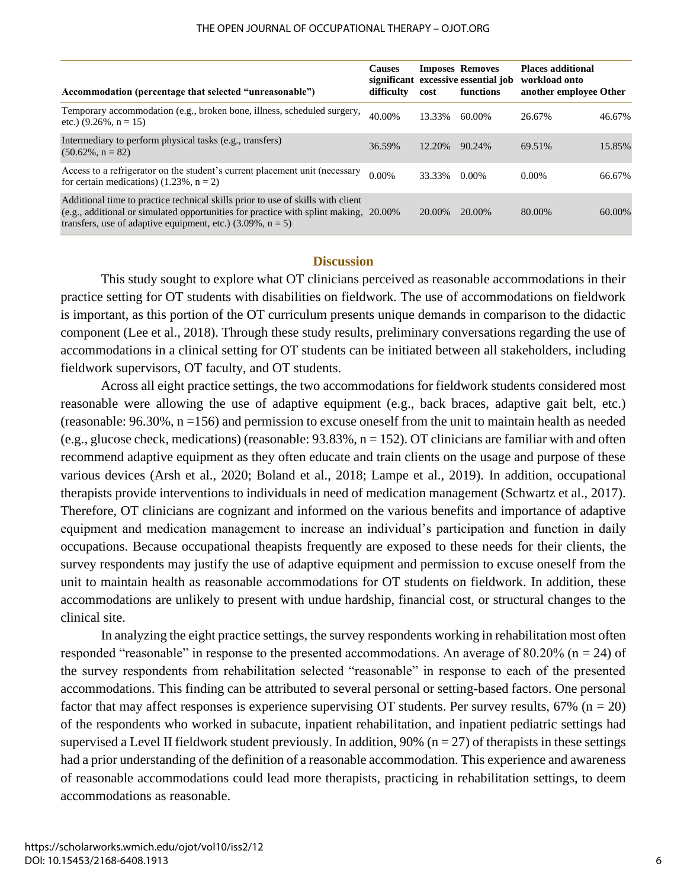| Accommodation (percentage that selected "unreasonable")                                                                                                                                                                                   | <b>Causes</b><br>difficulty | cost   | <b>Imposes Removes</b><br>significant excessive essential job<br>functions | <b>Places additional</b><br>workload onto<br>another employee Other |        |
|-------------------------------------------------------------------------------------------------------------------------------------------------------------------------------------------------------------------------------------------|-----------------------------|--------|----------------------------------------------------------------------------|---------------------------------------------------------------------|--------|
| Temporary accommodation (e.g., broken bone, illness, scheduled surgery,<br>etc.) $(9.26\% \text{ , } n = 15)$                                                                                                                             | 40.00%                      | 13.33% | 60.00%                                                                     | 26.67%                                                              | 46.67% |
| Intermediary to perform physical tasks (e.g., transfers)<br>$(50.62\%, n = 82)$                                                                                                                                                           | 36.59%                      | 12.20% | 90.24%                                                                     | 69.51%                                                              | 15.85% |
| Access to a refrigerator on the student's current placement unit (necessary<br>for certain medications) $(1.23\%, n = 2)$                                                                                                                 | $0.00\%$                    | 33.33% | 0.00%                                                                      | $0.00\%$                                                            | 66.67% |
| Additional time to practice technical skills prior to use of skills with client<br>(e.g., additional or simulated opportunities for practice with splint making, 20.00%)<br>transfers, use of adaptive equipment, etc.) $(3.09\%, n = 5)$ |                             | 20.00% | 20.00%                                                                     | 80.00%                                                              | 60.00% |

#### **Discussion**

This study sought to explore what OT clinicians perceived as reasonable accommodations in their practice setting for OT students with disabilities on fieldwork. The use of accommodations on fieldwork is important, as this portion of the OT curriculum presents unique demands in comparison to the didactic component (Lee et al., 2018). Through these study results, preliminary conversations regarding the use of accommodations in a clinical setting for OT students can be initiated between all stakeholders, including fieldwork supervisors, OT faculty, and OT students.

Across all eight practice settings, the two accommodations for fieldwork students considered most reasonable were allowing the use of adaptive equipment (e.g., back braces, adaptive gait belt, etc.) (reasonable: 96.30%, n =156) and permission to excuse oneself from the unit to maintain health as needed (e.g., glucose check, medications) (reasonable:  $93.83\%$ , n = 152). OT clinicians are familiar with and often recommend adaptive equipment as they often educate and train clients on the usage and purpose of these various devices (Arsh et al., 2020; Boland et al., 2018; Lampe et al., 2019). In addition, occupational therapists provide interventions to individuals in need of medication management (Schwartz et al., 2017). Therefore, OT clinicians are cognizant and informed on the various benefits and importance of adaptive equipment and medication management to increase an individual's participation and function in daily occupations. Because occupational theapists frequently are exposed to these needs for their clients, the survey respondents may justify the use of adaptive equipment and permission to excuse oneself from the unit to maintain health as reasonable accommodations for OT students on fieldwork. In addition, these accommodations are unlikely to present with undue hardship, financial cost, or structural changes to the clinical site.

In analyzing the eight practice settings, the survey respondents working in rehabilitation most often responded "reasonable" in response to the presented accommodations. An average of 80.20% ( $n = 24$ ) of the survey respondents from rehabilitation selected "reasonable" in response to each of the presented accommodations. This finding can be attributed to several personal or setting-based factors. One personal factor that may affect responses is experience supervising OT students. Per survey results,  $67\%$  (n = 20) of the respondents who worked in subacute, inpatient rehabilitation, and inpatient pediatric settings had supervised a Level II fieldwork student previously. In addition, 90% ( $n = 27$ ) of therapists in these settings had a prior understanding of the definition of a reasonable accommodation. This experience and awareness of reasonable accommodations could lead more therapists, practicing in rehabilitation settings, to deem accommodations as reasonable.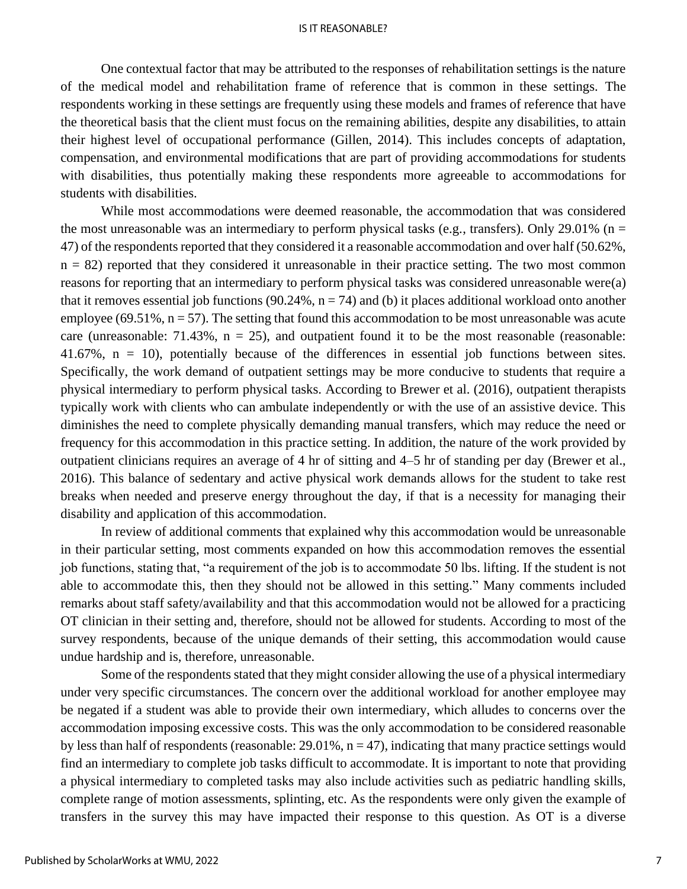One contextual factor that may be attributed to the responses of rehabilitation settings is the nature of the medical model and rehabilitation frame of reference that is common in these settings. The respondents working in these settings are frequently using these models and frames of reference that have the theoretical basis that the client must focus on the remaining abilities, despite any disabilities, to attain their highest level of occupational performance (Gillen, 2014). This includes concepts of adaptation, compensation, and environmental modifications that are part of providing accommodations for students with disabilities, thus potentially making these respondents more agreeable to accommodations for students with disabilities.

While most accommodations were deemed reasonable, the accommodation that was considered the most unreasonable was an intermediary to perform physical tasks (e.g., transfers). Only 29.01% ( $n =$ 47) of the respondents reported that they considered it a reasonable accommodation and over half (50.62%,  $n = 82$ ) reported that they considered it unreasonable in their practice setting. The two most common reasons for reporting that an intermediary to perform physical tasks was considered unreasonable were(a) that it removes essential job functions (90.24%,  $n = 74$ ) and (b) it places additional workload onto another employee (69.51%,  $n = 57$ ). The setting that found this accommodation to be most unreasonable was acute care (unreasonable: 71.43%,  $n = 25$ ), and outpatient found it to be the most reasonable (reasonable: 41.67%, n = 10), potentially because of the differences in essential job functions between sites. Specifically, the work demand of outpatient settings may be more conducive to students that require a physical intermediary to perform physical tasks. According to Brewer et al. (2016), outpatient therapists typically work with clients who can ambulate independently or with the use of an assistive device. This diminishes the need to complete physically demanding manual transfers, which may reduce the need or frequency for this accommodation in this practice setting. In addition, the nature of the work provided by outpatient clinicians requires an average of 4 hr of sitting and 4–5 hr of standing per day (Brewer et al., 2016). This balance of sedentary and active physical work demands allows for the student to take rest breaks when needed and preserve energy throughout the day, if that is a necessity for managing their disability and application of this accommodation.

In review of additional comments that explained why this accommodation would be unreasonable in their particular setting, most comments expanded on how this accommodation removes the essential job functions, stating that, "a requirement of the job is to accommodate 50 lbs. lifting. If the student is not able to accommodate this, then they should not be allowed in this setting." Many comments included remarks about staff safety/availability and that this accommodation would not be allowed for a practicing OT clinician in their setting and, therefore, should not be allowed for students. According to most of the survey respondents, because of the unique demands of their setting, this accommodation would cause undue hardship and is, therefore, unreasonable.

Some of the respondents stated that they might consider allowing the use of a physical intermediary under very specific circumstances. The concern over the additional workload for another employee may be negated if a student was able to provide their own intermediary, which alludes to concerns over the accommodation imposing excessive costs. This was the only accommodation to be considered reasonable by less than half of respondents (reasonable:  $29.01\%$ ,  $n = 47$ ), indicating that many practice settings would find an intermediary to complete job tasks difficult to accommodate. It is important to note that providing a physical intermediary to completed tasks may also include activities such as pediatric handling skills, complete range of motion assessments, splinting, etc. As the respondents were only given the example of transfers in the survey this may have impacted their response to this question. As OT is a diverse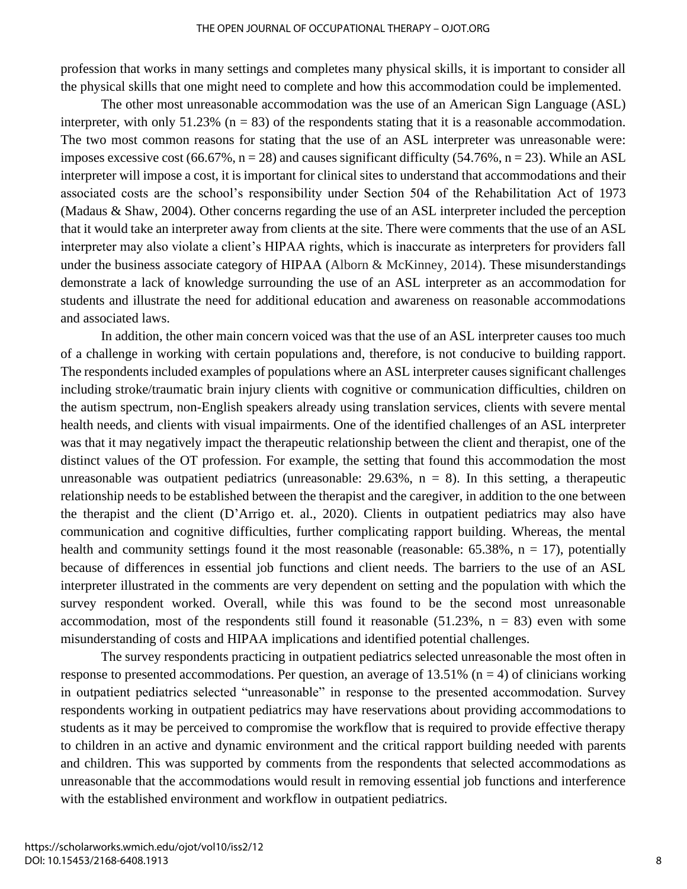#### THE OPEN JOURNAL OF OCCUPATIONAL THERAPY – OJOT.ORG

profession that works in many settings and completes many physical skills, it is important to consider all the physical skills that one might need to complete and how this accommodation could be implemented.

The other most unreasonable accommodation was the use of an American Sign Language (ASL) interpreter, with only  $51.23\%$  (n = 83) of the respondents stating that it is a reasonable accommodation. The two most common reasons for stating that the use of an ASL interpreter was unreasonable were: imposes excessive cost  $(66.67\%, n = 28)$  and causes significant difficulty  $(54.76\%, n = 23)$ . While an ASL interpreter will impose a cost, it is important for clinical sites to understand that accommodations and their associated costs are the school's responsibility under Section 504 of the Rehabilitation Act of 1973 (Madaus & Shaw, 2004). Other concerns regarding the use of an ASL interpreter included the perception that it would take an interpreter away from clients at the site. There were comments that the use of an ASL interpreter may also violate a client's HIPAA rights, which is inaccurate as interpreters for providers fall under the business associate category of HIPAA (Alborn & McKinney, 2014). These misunderstandings demonstrate a lack of knowledge surrounding the use of an ASL interpreter as an accommodation for students and illustrate the need for additional education and awareness on reasonable accommodations and associated laws.

In addition, the other main concern voiced was that the use of an ASL interpreter causes too much of a challenge in working with certain populations and, therefore, is not conducive to building rapport. The respondents included examples of populations where an ASL interpreter causes significant challenges including stroke/traumatic brain injury clients with cognitive or communication difficulties, children on the autism spectrum, non-English speakers already using translation services, clients with severe mental health needs, and clients with visual impairments. One of the identified challenges of an ASL interpreter was that it may negatively impact the therapeutic relationship between the client and therapist, one of the distinct values of the OT profession. For example, the setting that found this accommodation the most unreasonable was outpatient pediatrics (unreasonable:  $29.63\%$ ,  $n = 8$ ). In this setting, a therapeutic relationship needs to be established between the therapist and the caregiver, in addition to the one between the therapist and the client (D'Arrigo et. al., 2020). Clients in outpatient pediatrics may also have communication and cognitive difficulties, further complicating rapport building. Whereas, the mental health and community settings found it the most reasonable (reasonable:  $65.38\%$ ,  $n = 17$ ), potentially because of differences in essential job functions and client needs. The barriers to the use of an ASL interpreter illustrated in the comments are very dependent on setting and the population with which the survey respondent worked. Overall, while this was found to be the second most unreasonable accommodation, most of the respondents still found it reasonable  $(51.23\%$ , n = 83) even with some misunderstanding of costs and HIPAA implications and identified potential challenges.

The survey respondents practicing in outpatient pediatrics selected unreasonable the most often in response to presented accommodations. Per question, an average of 13.51% ( $n = 4$ ) of clinicians working in outpatient pediatrics selected "unreasonable" in response to the presented accommodation. Survey respondents working in outpatient pediatrics may have reservations about providing accommodations to students as it may be perceived to compromise the workflow that is required to provide effective therapy to children in an active and dynamic environment and the critical rapport building needed with parents and children. This was supported by comments from the respondents that selected accommodations as unreasonable that the accommodations would result in removing essential job functions and interference with the established environment and workflow in outpatient pediatrics.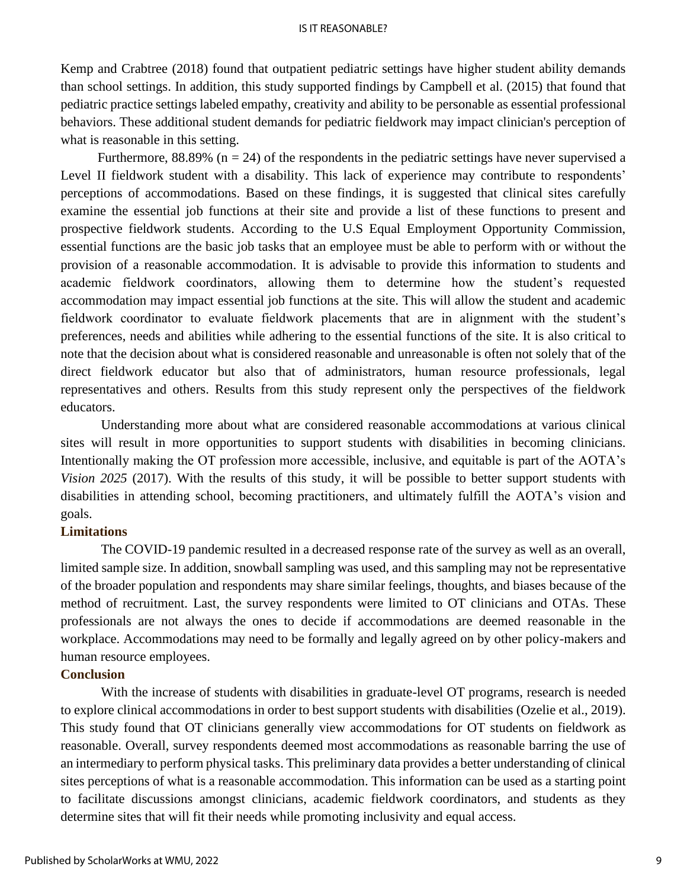Kemp and Crabtree (2018) found that outpatient pediatric settings have higher student ability demands than school settings. In addition, this study supported findings by Campbell et al. (2015) that found that pediatric practice settings labeled empathy, creativity and ability to be personable as essential professional behaviors. These additional student demands for pediatric fieldwork may impact clinician's perception of what is reasonable in this setting.

Furthermore,  $88.89\%$  (n = 24) of the respondents in the pediatric settings have never supervised a Level II fieldwork student with a disability. This lack of experience may contribute to respondents' perceptions of accommodations. Based on these findings, it is suggested that clinical sites carefully examine the essential job functions at their site and provide a list of these functions to present and prospective fieldwork students. According to the U.S Equal Employment Opportunity Commission, essential functions are the basic job tasks that an employee must be able to perform with or without the provision of a reasonable accommodation. It is advisable to provide this information to students and academic fieldwork coordinators, allowing them to determine how the student's requested accommodation may impact essential job functions at the site. This will allow the student and academic fieldwork coordinator to evaluate fieldwork placements that are in alignment with the student's preferences, needs and abilities while adhering to the essential functions of the site. It is also critical to note that the decision about what is considered reasonable and unreasonable is often not solely that of the direct fieldwork educator but also that of administrators, human resource professionals, legal representatives and others. Results from this study represent only the perspectives of the fieldwork educators.

Understanding more about what are considered reasonable accommodations at various clinical sites will result in more opportunities to support students with disabilities in becoming clinicians. Intentionally making the OT profession more accessible, inclusive, and equitable is part of the AOTA's *Vision 2025* (2017). With the results of this study, it will be possible to better support students with disabilities in attending school, becoming practitioners, and ultimately fulfill the AOTA's vision and goals.

## **Limitations**

The COVID-19 pandemic resulted in a decreased response rate of the survey as well as an overall, limited sample size. In addition, snowball sampling was used, and this sampling may not be representative of the broader population and respondents may share similar feelings, thoughts, and biases because of the method of recruitment. Last, the survey respondents were limited to OT clinicians and OTAs. These professionals are not always the ones to decide if accommodations are deemed reasonable in the workplace. Accommodations may need to be formally and legally agreed on by other policy-makers and human resource employees.

## **Conclusion**

With the increase of students with disabilities in graduate-level OT programs, research is needed to explore clinical accommodations in order to best support students with disabilities (Ozelie et al., 2019). This study found that OT clinicians generally view accommodations for OT students on fieldwork as reasonable. Overall, survey respondents deemed most accommodations as reasonable barring the use of an intermediary to perform physical tasks. This preliminary data provides a better understanding of clinical sites perceptions of what is a reasonable accommodation. This information can be used as a starting point to facilitate discussions amongst clinicians, academic fieldwork coordinators, and students as they determine sites that will fit their needs while promoting inclusivity and equal access.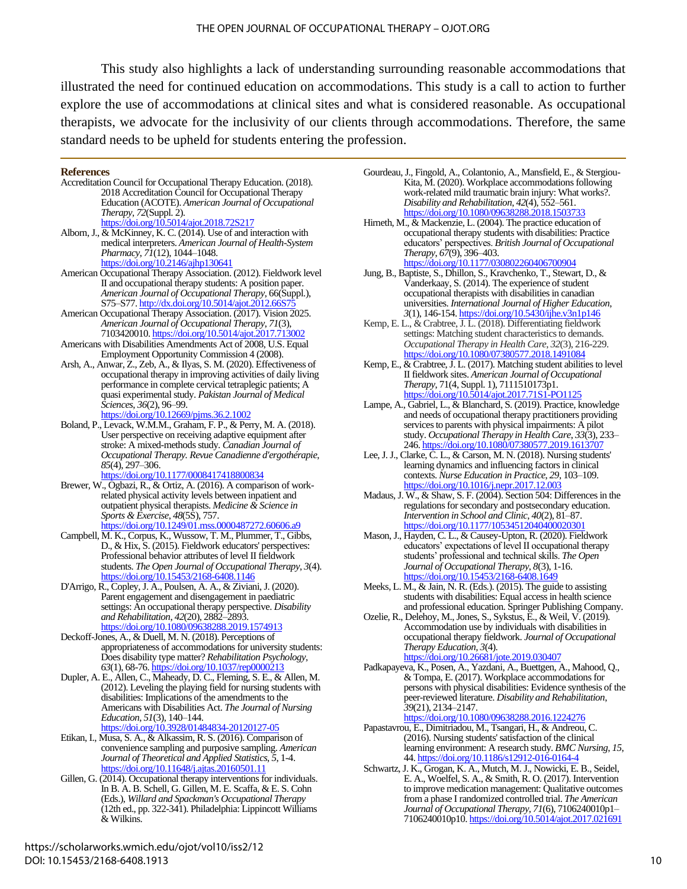This study also highlights a lack of understanding surrounding reasonable accommodations that illustrated the need for continued education on accommodations. This study is a call to action to further explore the use of accommodations at clinical sites and what is considered reasonable. As occupational therapists, we advocate for the inclusivity of our clients through accommodations. Therefore, the same standard needs to be upheld for students entering the profession.

#### **References**

- Accreditation Council for Occupational Therapy Education. (2018). 2018 Accreditation Council for Occupational Therapy Education (ACOTE). *American Journal of Occupational Therapy, 72*(Suppl. 2). <https://doi.org/10.5014/ajot.2018.72S217>
- Alborn, J., & McKinney, K. C. (2014). Use of and interaction with medical interpreters. *American Journal of Health-System Pharmacy*, *71*(12), 1044–1048. <https://doi.org/10.2146/ajhp130641>
- American Occupational Therapy Association. (2012). Fieldwork level II and occupational therapy students: A position paper. *American Journal of Occupational Therapy*, 66(Suppl.), S75–S77. http://dx.doi.org/10.5014/ajot.2012.6
- American Occupational Therapy Association. (2017). Vision 2025. *American Journal of Occupational Therapy*, *71*(3), 7103420010[. https://doi.org/10.5014/ajot.2017.713002](https://doi.org/10.5014/ajot.2017.713002)
- Americans with Disabilities Amendments Act of 2008, U.S. Equal Employment Opportunity Commission 4 (2008).
- Arsh, A., Anwar, Z., Zeb, A., & Ilyas, S. M. (2020). Effectiveness of occupational therapy in improving activities of daily living performance in complete cervical tetraplegic patients; A quasi experimental study. *Pakistan Journal of Medical Sciences*, *36*(2), 96–99. <https://doi.org/10.12669/pjms.36.2.1002>
- Boland, P., Levack, W.M.M., Graham, F. P., & Perry, M. A. (2018). User perspective on receiving adaptive equipment after stroke: A mixed-methods study. *Canadian Journal of Occupational Therapy. Revue Canadienne d'ergothérapie*, *85*(4), 297–306.

<https://doi.org/10.1177/0008417418800834>

- Brewer, W., Ogbazi, R., & Ortiz, A. (2016). A comparison of workrelated physical activity levels between inpatient and outpatient physical therapists. *Medicine & Science in Sports & Exercise*, *48*(5S), 757. <https://doi.org/10.1249/01.mss.0000487272.60606.a9>
- Campbell, M. K., Corpus, K., Wussow, T. M., Plummer, T., Gibbs, D., & Hix, S. (2015). Fieldwork educators' perspectives: Professional behavior attributes of level II fieldwork students. *The Open Journal of Occupational Therapy*, *3*(4). https://doi.org/10.15453/2168-6408.1146
- D'Arrigo, R., Copley, J. A., Poulsen, A. A., & Ziviani, J. (2020). Parent engagement and disengagement in paediatric settings: An occupational therapy perspective. *Disability and Rehabilitation*, *42*(20), 2882–2893. <https://doi.org/10.1080/09638288.2019.1574913>
- Deckoff-Jones, A., & Duell, M. N. (2018). Perceptions of appropriateness of accommodations for university students: Does disability type matter? *Rehabilitation Psychology, 63*(1), 68-76[. https://doi.org/10.1037/rep0000213](https://doi.org/10.1037/rep0000213)
- Dupler, A. E., Allen, C., Maheady, D. C., Fleming, S. E., & Allen, M. (2012). Leveling the playing field for nursing students with disabilities: Implications of the amendments to the Americans with Disabilities Act. *The Journal of Nursing Education*, *51*(3), 140–144. <https://doi.org/10.3928/01484834-20120127-05>
- Etikan, I., Musa, S. A., & Alkassim, R. S. (2016). Comparison of convenience sampling and purposive sampling. *American Journal of Theoretical and Applied Statistics*, *5*, 1-4.
- <https://doi.org/10.11648/j.ajtas.20160501.11> Gillen, G. (2014). Occupational therapy interventions for individuals. In B. A. B. Schell, G. Gillen, M. E. Scaffa, & E. S. Cohn (Eds.), *Willard and Spackman's Occupational Therapy* (12th ed., pp. 322-341). Philadelphia: Lippincott Williams & Wilkins.
- Gourdeau, J., Fingold, A., Colantonio, A., Mansfield, E., & Stergiou-Kita, M. (2020). Workplace accommodations following work-related mild traumatic brain injury: What works?. *Disability and Rehabilitation*, *42*(4), 552–561. <https://doi.org/10.1080/09638288.2018.1503733>
- Hirneth, M., & Mackenzie, L. (2004). The practice education of occupational therapy students with disabilities: Practice educators' perspectives. *British Journal of Occupational Therapy*, *67*(9), 396–403. <https://doi.org/10.1177/030802260406700904>
- Jung, B., Baptiste, S., Dhillon, S., Kravchenko, T., Stewart, D., & Vanderkaay, S. (2014). The experience of student occupational therapists with disabilities in canadian universities. *International Journal of Higher Education*, *3*(1), 146-154[. https://doi.org/10.5430/ijhe.v3n1p146](https://doi.org/10.5430/ijhe.v3n1p146)
- Kemp, E. L., & Crabtree, J. L. (2018). Differentiating fieldwork settings: Matching student characteristics to demands. *Occupational Therapy in Health Care*, *32*(3), 216-229. <https://doi.org/10.1080/07380577.2018.1491084>
- Kemp, E., & Crabtree, J. L. (2017). Matching student abilities to level II fieldwork sites. *American Journal of Occupational Therapy*, 71(4, Suppl. 1), 7111510173p1. <https://doi.org/10.5014/ajot.2017.71S1-PO1125>
- Lampe, A., Gabriel, L., & Blanchard, S. (2019). Practice, knowledge and needs of occupational therapy practitioners providing services to parents with physical impairments: A pilot study. *Occupational Therapy in Health Care*, *33*(3), 233– 246[. https://doi.org/10.1080/07380577.2019.1613707](https://doi.org/10.1080/07380577.2019.1613707)
- Lee, J. J., Clarke, C. L., & Carson, M. N. (2018). Nursing students' learning dynamics and influencing factors in clinical contexts. *Nurse Education in Practice*, *29*, 103–109. <https://doi.org/10.1016/j.nepr.2017.12.003>
- Madaus, J. W., & Shaw, S. F. (2004). Section 504: Differences in the regulations for secondary and postsecondary education. *Intervention in School and Clinic*, *40*(2), 81–87. <https://doi.org/10.1177/10534512040400020301>
- Mason, J., Hayden, C. L., & Causey-Upton, R. (2020). Fieldwork educators' expectations of level II occupational therapy students' professional and technical skills. *The Open Journal of Occupational Therapy*, *8*(3), 1-16. https://doi.org/10.15453/2168-6408.164
- Meeks, L. M., & Jain, N. R. (Eds.). (2015). The guide to assisting students with disabilities: Equal access in health science and professional education. Springer Publishing Company.
- Ozelie, R., Delehoy, M., Jones, S., Sykstus, E., & Weil, V. (2019). Accommodation use by individuals with disabilities in occupational therapy fieldwork. *Journal of Occupational Therapy Education, 3*(4). <https://doi.org/10.26681/jote.2019.030407>
- Padkapayeva, K., Posen, A., Yazdani, A., Buettgen, A., Mahood, Q., & Tompa, E. (2017). Workplace accommodations for persons with physical disabilities: Evidence synthesis of the peer-reviewed literature. *Disability and Rehabilitation*, *39*(21), 2134–2147. <https://doi.org/10.1080/09638288.2016.1224276>
- Papastavrou, E., Dimitriadou, M., Tsangari, H., & Andreou, C. (2016). Nursing students' satisfaction of the clinical learning environment: A research study. *BMC Nursing*, *15*, 44. <https://doi.org/10.1186/s12912-016-0164-4>
- Schwartz, J. K., Grogan, K. A., Mutch, M. J., Nowicki, E. B., Seidel, E. A., Woelfel, S. A., & Smith, R. O. (2017). Intervention to improve medication management: Qualitative outcomes from a phase I randomized controlled trial. *The American Journal of Occupational Therapy*, *71*(6), 7106240010p1– 7106240010p10[. https://doi.org/10.5014/ajot.2017.021691](https://doi.org/10.5014/ajot.2017.021691)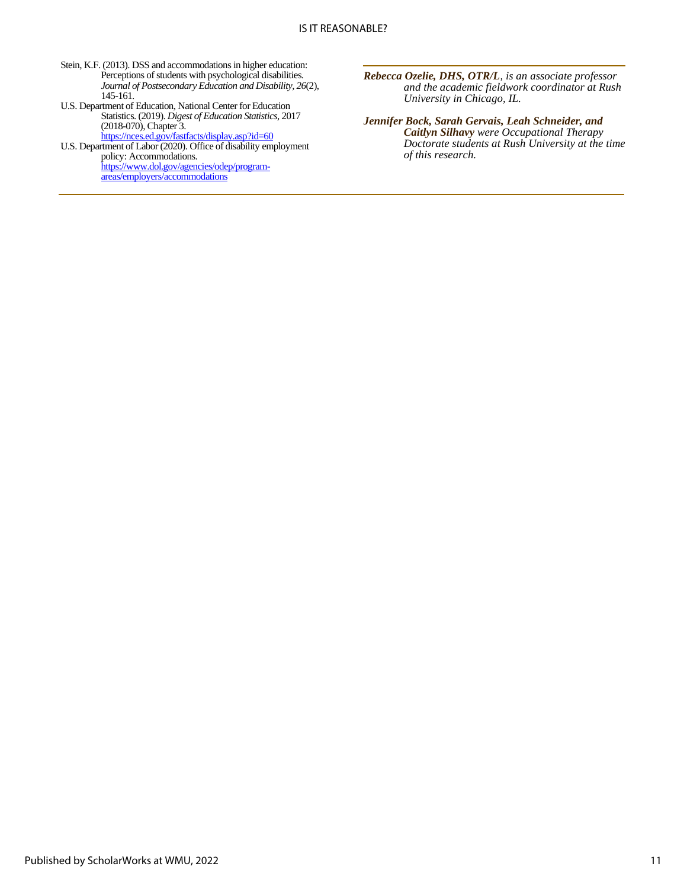- Stein, K.F. (2013). DSS and accommodations in higher education: Perceptions of students with psychological disabilities. *Journal of Postsecondary Education and Disability, 26*(2), 145-161.
- U.S. Department of Education, National Center for Education Statistics. (2019). *Digest of Education Statistics*, 2017 (2018-070), Chapter 3.
- <https://nces.ed.gov/fastfacts/display.asp?id=60> U.S. Department of Labor (2020). Office of disability employment policy: Accommodations. [https://www.dol.gov/agencies/odep/program-](https://www.dol.gov/agencies/odep/program-areas/employers/accommodations)

[areas/employers/accommodations](https://www.dol.gov/agencies/odep/program-areas/employers/accommodations)

*Rebecca Ozelie, DHS, OTR/L, is an associate professor and the academic fieldwork coordinator at Rush University in Chicago, IL.*

*Jennifer Bock, Sarah Gervais, Leah Schneider, and Caitlyn Silhavy were Occupational Therapy Doctorate students at Rush University at the time of this research.*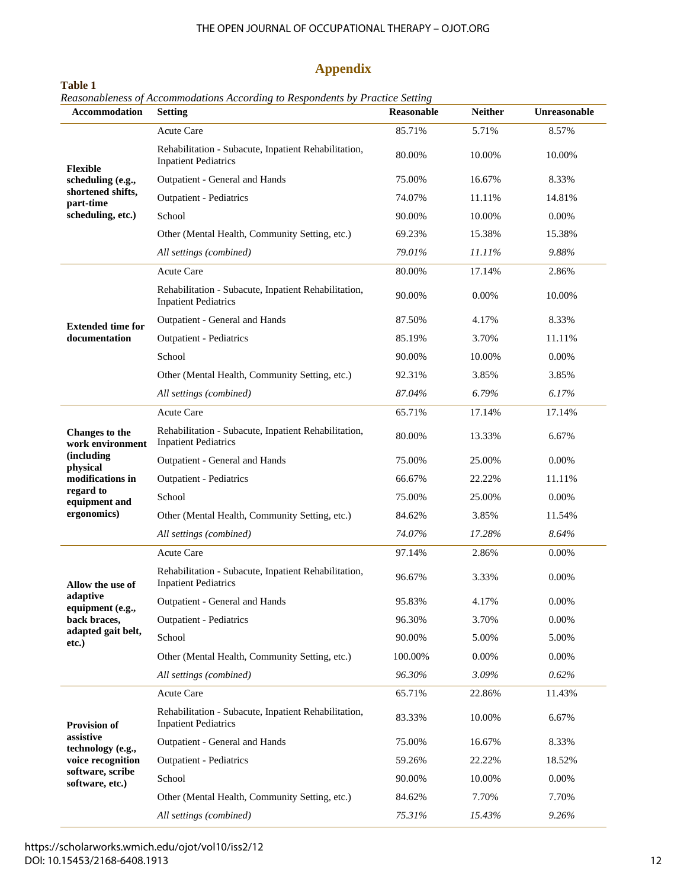#### THE OPEN JOURNAL OF OCCUPATIONAL THERAPY – OJOT.ORG

## **Appendix**

| Accommodation                                                                               | <b>Setting</b>                                                                      | <b>Reasonable</b> | <b>Neither</b> | Unreasonable |
|---------------------------------------------------------------------------------------------|-------------------------------------------------------------------------------------|-------------------|----------------|--------------|
| <b>Flexible</b><br>scheduling (e.g.,<br>shortened shifts,<br>part-time<br>scheduling, etc.) | <b>Acute Care</b>                                                                   | 85.71%            | 5.71%          | 8.57%        |
|                                                                                             | Rehabilitation - Subacute, Inpatient Rehabilitation,<br><b>Inpatient Pediatrics</b> | 80.00%            | 10.00%         | 10.00%       |
|                                                                                             | Outpatient - General and Hands                                                      | 75.00%            | 16.67%         | 8.33%        |
|                                                                                             | <b>Outpatient - Pediatrics</b>                                                      | 74.07%            | 11.11%         | 14.81%       |
|                                                                                             | School                                                                              | 90.00%            | 10.00%         | 0.00%        |
|                                                                                             | Other (Mental Health, Community Setting, etc.)                                      | 69.23%            | 15.38%         | 15.38%       |
|                                                                                             | All settings (combined)                                                             | 79.01%            | 11.11%         | 9.88%        |
|                                                                                             | <b>Acute Care</b>                                                                   | 80.00%            | 17.14%         | 2.86%        |
|                                                                                             | Rehabilitation - Subacute, Inpatient Rehabilitation,<br><b>Inpatient Pediatrics</b> | 90.00%            | 0.00%          | 10.00%       |
| <b>Extended time for</b>                                                                    | Outpatient - General and Hands                                                      | 87.50%            | 4.17%          | 8.33%        |
| documentation                                                                               | <b>Outpatient - Pediatrics</b>                                                      | 85.19%            | 3.70%          | 11.11%       |
|                                                                                             | School                                                                              | 90.00%            | 10.00%         | 0.00%        |
|                                                                                             | Other (Mental Health, Community Setting, etc.)                                      | 92.31%            | 3.85%          | 3.85%        |
|                                                                                             | All settings (combined)                                                             | 87.04%            | 6.79%          | 6.17%        |
|                                                                                             | Acute Care                                                                          | 65.71%            | 17.14%         | 17.14%       |
| <b>Changes</b> to the<br>work environment                                                   | Rehabilitation - Subacute, Inpatient Rehabilitation,<br><b>Inpatient Pediatrics</b> | 80.00%            | 13.33%         | 6.67%        |
| (including<br>physical                                                                      | Outpatient - General and Hands                                                      | 75.00%            | 25.00%         | 0.00%        |
| modifications in                                                                            | <b>Outpatient - Pediatrics</b>                                                      | 66.67%            | 22.22%         | 11.11%       |
| regard to<br>equipment and                                                                  | School                                                                              | 75.00%            | 25.00%         | 0.00%        |
| ergonomics)                                                                                 | Other (Mental Health, Community Setting, etc.)                                      | 84.62%            | 3.85%          | 11.54%       |
|                                                                                             | All settings (combined)                                                             | 74.07%            | 17.28%         | 8.64%        |
|                                                                                             | Acute Care                                                                          | 97.14%            | 2.86%          | 0.00%        |
| Allow the use of                                                                            | Rehabilitation - Subacute, Inpatient Rehabilitation,<br><b>Inpatient Pediatrics</b> | 96.67%            | 3.33%          | 0.00%        |
| adaptive<br>equipment (e.g.,                                                                | Outpatient - General and Hands                                                      | 95.83%            | 4.17%          | 0.00%        |
| back braces,                                                                                | <b>Outpatient - Pediatrics</b>                                                      | 96.30%            | 3.70%          | 0.00%        |
| adapted gait belt,<br>etc.)                                                                 | School                                                                              | 90.00%            | 5.00%          | 5.00%        |
|                                                                                             | Other (Mental Health, Community Setting, etc.)                                      | 100.00%           | 0.00%          | 0.00%        |
|                                                                                             | All settings (combined)                                                             | 96.30%            | 3.09%          | 0.62%        |
| <b>Provision of</b><br>assistive<br>technology (e.g.,                                       | <b>Acute Care</b>                                                                   | 65.71%            | 22.86%         | 11.43%       |
|                                                                                             | Rehabilitation - Subacute, Inpatient Rehabilitation,<br><b>Inpatient Pediatrics</b> | 83.33%            | 10.00%         | 6.67%        |
|                                                                                             | Outpatient - General and Hands                                                      | 75.00%            | 16.67%         | 8.33%        |
| voice recognition                                                                           | <b>Outpatient - Pediatrics</b>                                                      | 59.26%            | 22.22%         | 18.52%       |
| software, scribe<br>software, etc.)                                                         | School                                                                              | 90.00%            | 10.00%         | 0.00%        |
|                                                                                             | Other (Mental Health, Community Setting, etc.)                                      | 84.62%            | 7.70%          | 7.70%        |
|                                                                                             | All settings (combined)                                                             | 75.31%            | 15.43%         | 9.26%        |

#### **Table 1** *Reasonableness of Accommodations According to Respondents by Practice Setting*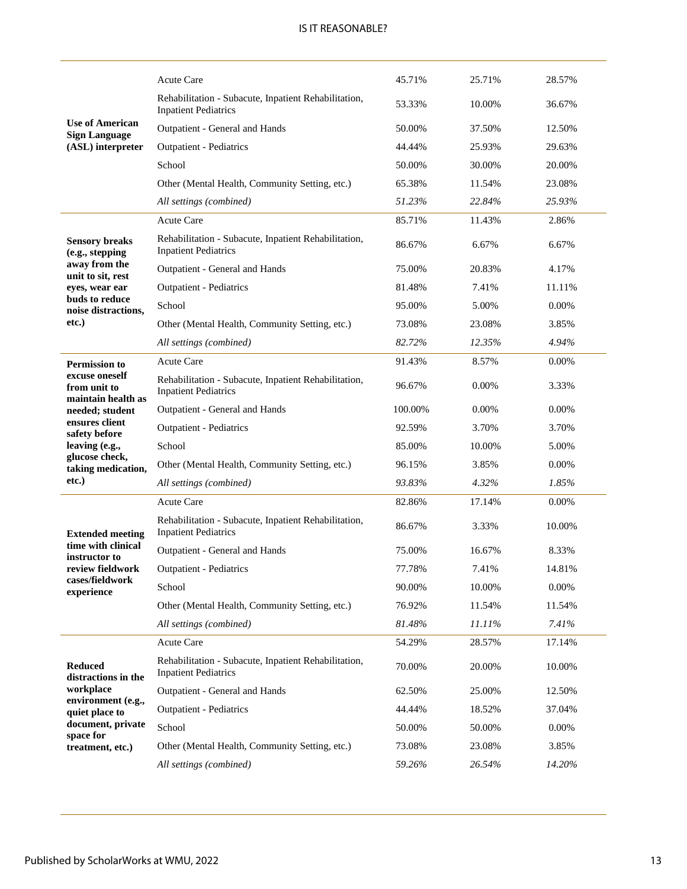|                                                      | <b>Acute Care</b>                                                                   | 45.71%  | 25.71% | 28.57% |
|------------------------------------------------------|-------------------------------------------------------------------------------------|---------|--------|--------|
|                                                      | Rehabilitation - Subacute, Inpatient Rehabilitation,<br><b>Inpatient Pediatrics</b> | 53.33%  | 10.00% | 36.67% |
| <b>Use of American</b><br><b>Sign Language</b>       | Outpatient - General and Hands                                                      | 50.00%  | 37.50% | 12.50% |
| (ASL) interpreter                                    | <b>Outpatient - Pediatrics</b>                                                      | 44.44%  | 25.93% | 29.63% |
|                                                      | School                                                                              | 50.00%  | 30.00% | 20.00% |
|                                                      | Other (Mental Health, Community Setting, etc.)                                      | 65.38%  | 11.54% | 23.08% |
|                                                      | All settings (combined)                                                             | 51.23%  | 22.84% | 25.93% |
|                                                      | <b>Acute Care</b>                                                                   | 85.71%  | 11.43% | 2.86%  |
| <b>Sensory breaks</b><br>(e.g., stepping             | Rehabilitation - Subacute, Inpatient Rehabilitation,<br><b>Inpatient Pediatrics</b> | 86.67%  | 6.67%  | 6.67%  |
| away from the<br>unit to sit, rest                   | Outpatient - General and Hands                                                      | 75.00%  | 20.83% | 4.17%  |
| eyes, wear ear                                       | <b>Outpatient - Pediatrics</b>                                                      | 81.48%  | 7.41%  | 11.11% |
| buds to reduce<br>noise distractions,                | School                                                                              | 95.00%  | 5.00%  | 0.00%  |
| etc.)                                                | Other (Mental Health, Community Setting, etc.)                                      | 73.08%  | 23.08% | 3.85%  |
|                                                      | All settings (combined)                                                             | 82.72%  | 12.35% | 4.94%  |
| <b>Permission to</b>                                 | <b>Acute Care</b>                                                                   | 91.43%  | 8.57%  | 0.00%  |
| excuse oneself<br>from unit to<br>maintain health as | Rehabilitation - Subacute, Inpatient Rehabilitation,<br><b>Inpatient Pediatrics</b> | 96.67%  | 0.00%  | 3.33%  |
| needed; student                                      | Outpatient - General and Hands                                                      | 100.00% | 0.00%  | 0.00%  |
| ensures client<br>safety before                      | <b>Outpatient - Pediatrics</b>                                                      | 92.59%  | 3.70%  | 3.70%  |
| leaving (e.g.,                                       | School                                                                              | 85.00%  | 10.00% | 5.00%  |
| glucose check,<br>taking medication,                 | Other (Mental Health, Community Setting, etc.)                                      | 96.15%  | 3.85%  | 0.00%  |
| etc.)                                                | All settings (combined)                                                             | 93.83%  | 4.32%  | 1.85%  |
|                                                      | Acute Care                                                                          | 82.86%  | 17.14% | 0.00%  |
| <b>Extended meeting</b>                              | Rehabilitation - Subacute, Inpatient Rehabilitation,<br><b>Inpatient Pediatrics</b> | 86.67%  | 3.33%  | 10.00% |
| time with clinical<br>instructor to                  | Outpatient - General and Hands                                                      | 75.00%  | 16.67% | 8.33%  |
| review fieldwork                                     | <b>Outpatient - Pediatrics</b>                                                      | 77.78%  | 7.41%  | 14.81% |
| cases/fieldwork<br>experience                        | School                                                                              | 90.00%  | 10.00% | 0.00%  |
|                                                      | Other (Mental Health, Community Setting, etc.)                                      | 76.92%  | 11.54% | 11.54% |
|                                                      | All settings (combined)                                                             | 81.48%  | 11.11% | 7.41%  |
|                                                      | Acute Care                                                                          | 54.29%  | 28.57% | 17.14% |
| <b>Reduced</b><br>distractions in the<br>workplace   | Rehabilitation - Subacute, Inpatient Rehabilitation,<br><b>Inpatient Pediatrics</b> | 70.00%  | 20.00% | 10.00% |
|                                                      | Outpatient - General and Hands                                                      | 62.50%  | 25.00% | 12.50% |
| environment (e.g.,<br>quiet place to                 | <b>Outpatient - Pediatrics</b>                                                      | 44.44%  | 18.52% | 37.04% |
| document, private<br>space for<br>treatment, etc.)   | School                                                                              | 50.00%  | 50.00% | 0.00%  |
|                                                      | Other (Mental Health, Community Setting, etc.)                                      | 73.08%  | 23.08% | 3.85%  |
|                                                      | All settings (combined)                                                             | 59.26%  | 26.54% | 14.20% |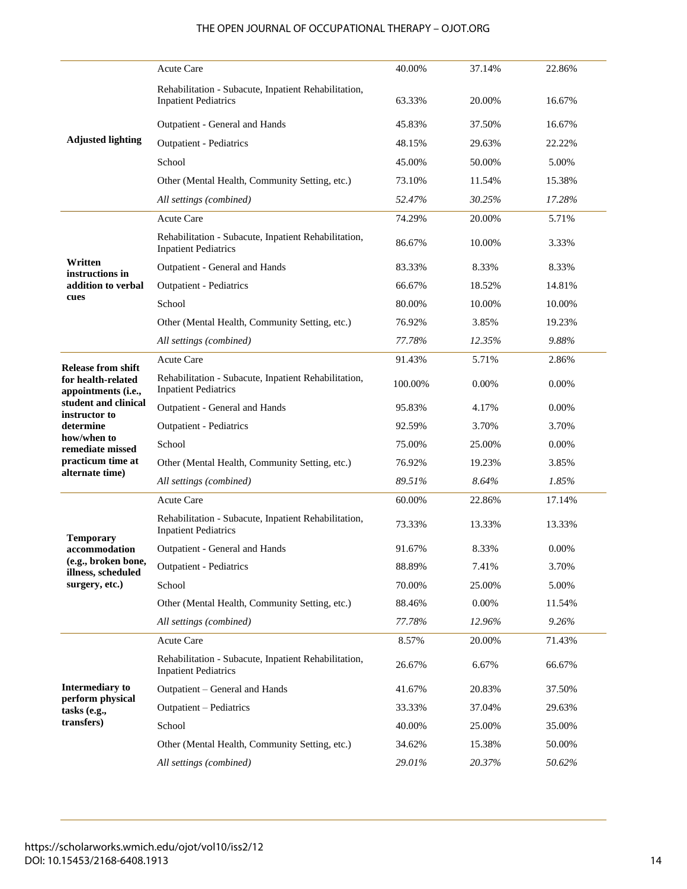## THE OPEN JOURNAL OF OCCUPATIONAL THERAPY – OJOT.ORG

|                                           | <b>Acute Care</b>                                                                   | 40.00%  | 37.14% | 22.86%   |
|-------------------------------------------|-------------------------------------------------------------------------------------|---------|--------|----------|
|                                           | Rehabilitation - Subacute, Inpatient Rehabilitation,<br><b>Inpatient Pediatrics</b> | 63.33%  | 20.00% | 16.67%   |
|                                           | Outpatient - General and Hands                                                      | 45.83%  | 37.50% | 16.67%   |
| <b>Adjusted lighting</b>                  | <b>Outpatient - Pediatrics</b>                                                      | 48.15%  | 29.63% | 22.22%   |
|                                           | School                                                                              | 45.00%  | 50.00% | 5.00%    |
|                                           | Other (Mental Health, Community Setting, etc.)                                      | 73.10%  | 11.54% | 15.38%   |
|                                           | All settings (combined)                                                             | 52.47%  | 30.25% | 17.28%   |
|                                           | <b>Acute Care</b>                                                                   | 74.29%  | 20.00% | 5.71%    |
|                                           | Rehabilitation - Subacute, Inpatient Rehabilitation,<br><b>Inpatient Pediatrics</b> | 86.67%  | 10.00% | 3.33%    |
| Written<br>instructions in                | Outpatient - General and Hands                                                      | 83.33%  | 8.33%  | 8.33%    |
| addition to verbal                        | <b>Outpatient - Pediatrics</b>                                                      | 66.67%  | 18.52% | 14.81%   |
| cues                                      | School                                                                              | 80.00%  | 10.00% | 10.00%   |
|                                           | Other (Mental Health, Community Setting, etc.)                                      | 76.92%  | 3.85%  | 19.23%   |
|                                           | All settings (combined)                                                             | 77.78%  | 12.35% | 9.88%    |
| <b>Release from shift</b>                 | Acute Care                                                                          | 91.43%  | 5.71%  | 2.86%    |
| for health-related<br>appointments (i.e., | Rehabilitation - Subacute, Inpatient Rehabilitation,<br><b>Inpatient Pediatrics</b> | 100.00% | 0.00%  | 0.00%    |
| student and clinical<br>instructor to     | Outpatient - General and Hands                                                      | 95.83%  | 4.17%  | 0.00%    |
| determine                                 | <b>Outpatient - Pediatrics</b>                                                      | 92.59%  | 3.70%  | 3.70%    |
| how/when to<br>remediate missed           | School                                                                              | 75.00%  | 25.00% | $0.00\%$ |
| practicum time at                         | Other (Mental Health, Community Setting, etc.)                                      | 76.92%  | 19.23% | 3.85%    |
| alternate time)                           | All settings (combined)                                                             | 89.51%  | 8.64%  | 1.85%    |
|                                           | Acute Care                                                                          | 60.00%  | 22.86% | 17.14%   |
|                                           | Rehabilitation - Subacute, Inpatient Rehabilitation,<br><b>Inpatient Pediatrics</b> | 73.33%  | 13.33% | 13.33%   |
| <b>Temporary</b><br>accommodation         | Outpatient - General and Hands                                                      | 91.67%  | 8.33%  | 0.00%    |
| (e.g., broken bone,<br>illness, scheduled | <b>Outpatient - Pediatrics</b>                                                      | 88.89%  | 7.41%  | 3.70%    |
| surgery, etc.)                            | School                                                                              | 70.00%  | 25.00% | 5.00%    |
|                                           | Other (Mental Health, Community Setting, etc.)                                      | 88.46%  | 0.00%  | 11.54%   |
|                                           | All settings (combined)                                                             | 77.78%  | 12.96% | 9.26%    |
|                                           | Acute Care                                                                          | 8.57%   | 20.00% | 71.43%   |
| <b>Intermediary to</b>                    | Rehabilitation - Subacute, Inpatient Rehabilitation,<br><b>Inpatient Pediatrics</b> | 26.67%  | 6.67%  | 66.67%   |
|                                           | Outpatient - General and Hands                                                      | 41.67%  | 20.83% | 37.50%   |
| perform physical<br>tasks (e.g.,          | Outpatient - Pediatrics                                                             | 33.33%  | 37.04% | 29.63%   |
| transfers)                                | School                                                                              | 40.00%  | 25.00% | 35.00%   |
|                                           | Other (Mental Health, Community Setting, etc.)                                      | 34.62%  | 15.38% | 50.00%   |
|                                           | All settings (combined)                                                             | 29.01%  | 20.37% | 50.62%   |